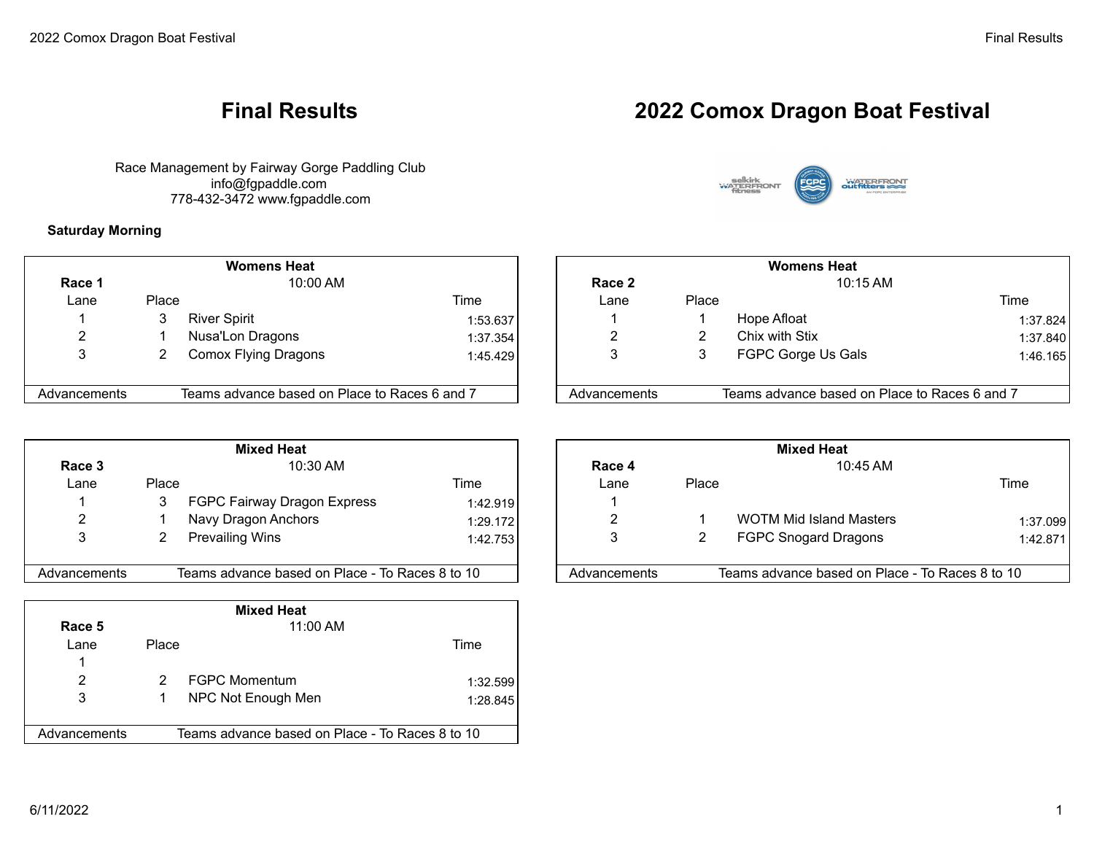Race Management by Fairway Gorge Paddling Club info@fgpaddle.com 778-432-3472 www.fgpaddle.com

**Saturday Morning**

|              |       | <b>Womens Heat</b>                            |           |              | <b>Womens Heat</b> |                                               |     |
|--------------|-------|-----------------------------------------------|-----------|--------------|--------------------|-----------------------------------------------|-----|
| Race 1       |       | 10:00 AM                                      |           | Race 2       |                    | 10:15 AM                                      |     |
| Lane         | Place |                                               | Time      | Lane         | Place              |                                               | Tim |
|              | 3     | <b>River Spirit</b>                           | 1:53.6371 |              |                    | Hope Afloat                                   |     |
| ົ            |       | Nusa'Lon Dragons                              | 1:37.354  | ົ            |                    | Chix with Stix                                |     |
| 3            |       | Comox Flying Dragons                          | 1:45.429  | 3            |                    | FGPC Gorge Us Gals                            |     |
|              |       |                                               |           |              |                    |                                               |     |
| Advancements |       | Teams advance based on Place to Races 6 and 7 |           | Advancements |                    | Teams advance based on Place to Races 6 and 7 |     |

|              | <b>Mixed Heat</b> |                                                 |          |  |              | <b>Mixed Heat</b> |                                                 |      |  |
|--------------|-------------------|-------------------------------------------------|----------|--|--------------|-------------------|-------------------------------------------------|------|--|
| Race 3       |                   | $10:30$ AM                                      |          |  | Race 4       |                   | 10:45 AM                                        |      |  |
| Lane         | Place             |                                                 | Time     |  | Lane         | Place             |                                                 | Time |  |
|              |                   | FGPC Fairway Dragon Express                     | 1:42.919 |  |              |                   |                                                 |      |  |
| ົ            |                   | Navy Dragon Anchors                             | 1:29.172 |  | ົ            |                   | <b>WOTM Mid Island Masters</b>                  |      |  |
|              |                   | <b>Prevailing Wins</b>                          | 1:42.753 |  | 3            |                   | <b>FGPC Snogard Dragons</b>                     |      |  |
|              |                   |                                                 |          |  |              |                   |                                                 |      |  |
| Advancements |                   | Teams advance based on Place - To Races 8 to 10 |          |  | Advancements |                   | Teams advance based on Place - To Races 8 to 10 |      |  |

| <b>Mixed Heat</b> |              |                                                 |          |  |  |  |  |  |
|-------------------|--------------|-------------------------------------------------|----------|--|--|--|--|--|
| Race 5            |              | 11:00 AM                                        |          |  |  |  |  |  |
| Lane              | <b>Place</b> |                                                 | Time     |  |  |  |  |  |
| 1                 |              |                                                 |          |  |  |  |  |  |
| 2                 |              | <b>FGPC Momentum</b>                            | 1:32.599 |  |  |  |  |  |
| 3                 |              | NPC Not Enough Men                              | 1:28.845 |  |  |  |  |  |
|                   |              |                                                 |          |  |  |  |  |  |
| Advancements      |              | Teams advance based on Place - To Races 8 to 10 |          |  |  |  |  |  |

# **Final Results 2022 Comox Dragon Boat Festival**



|          | <b>Womens Heat</b> |                                               |          | <b>Womens Heat</b> |       |                                               |      |          |
|----------|--------------------|-----------------------------------------------|----------|--------------------|-------|-----------------------------------------------|------|----------|
| lace 1   |                    | 10:00 AM                                      |          | Race 2             |       | $10:15$ AM                                    |      |          |
| Lane     | Place              |                                               | Time     | Lane               | Place |                                               | Time |          |
|          |                    | <b>River Spirit</b>                           | 1:53.637 |                    |       | Hope Afloat                                   |      | 1:37.824 |
|          |                    | Nusa'Lon Dragons                              | 1:37.354 |                    |       | Chix with Stix                                |      | 1:37.840 |
|          |                    | Comox Flying Dragons                          | 1:45.429 |                    |       | FGPC Gorge Us Gals                            |      | 1:46.165 |
| ncements |                    | Teams advance based on Place to Races 6 and 7 |          | Advancements       |       | Teams advance based on Place to Races 6 and 7 |      |          |

|          |            | <b>Mixed Heat</b>                               |          | <b>Mixed Heat</b> |              |       |                                                 |          |  |
|----------|------------|-------------------------------------------------|----------|-------------------|--------------|-------|-------------------------------------------------|----------|--|
| ace 3    | $10:30$ AM |                                                 |          | Race 4            |              |       | 10:45 AM                                        |          |  |
| Lane     | Place      |                                                 | Time     |                   | Lane         | Place |                                                 | Time     |  |
|          |            | FGPC Fairway Dragon Express                     | 1:42.919 |                   |              |       |                                                 |          |  |
|          |            | Navy Dragon Anchors                             | 1:29.172 |                   |              |       | <b>WOTM Mid Island Masters</b>                  | 1:37.099 |  |
|          |            | <b>Prevailing Wins</b>                          | 1:42.753 |                   |              |       | <b>FGPC Snogard Dragons</b>                     | 1:42.871 |  |
| ncements |            | Teams advance based on Place - To Races 8 to 10 |          |                   | Advancements |       | Teams advance based on Place - To Races 8 to 10 |          |  |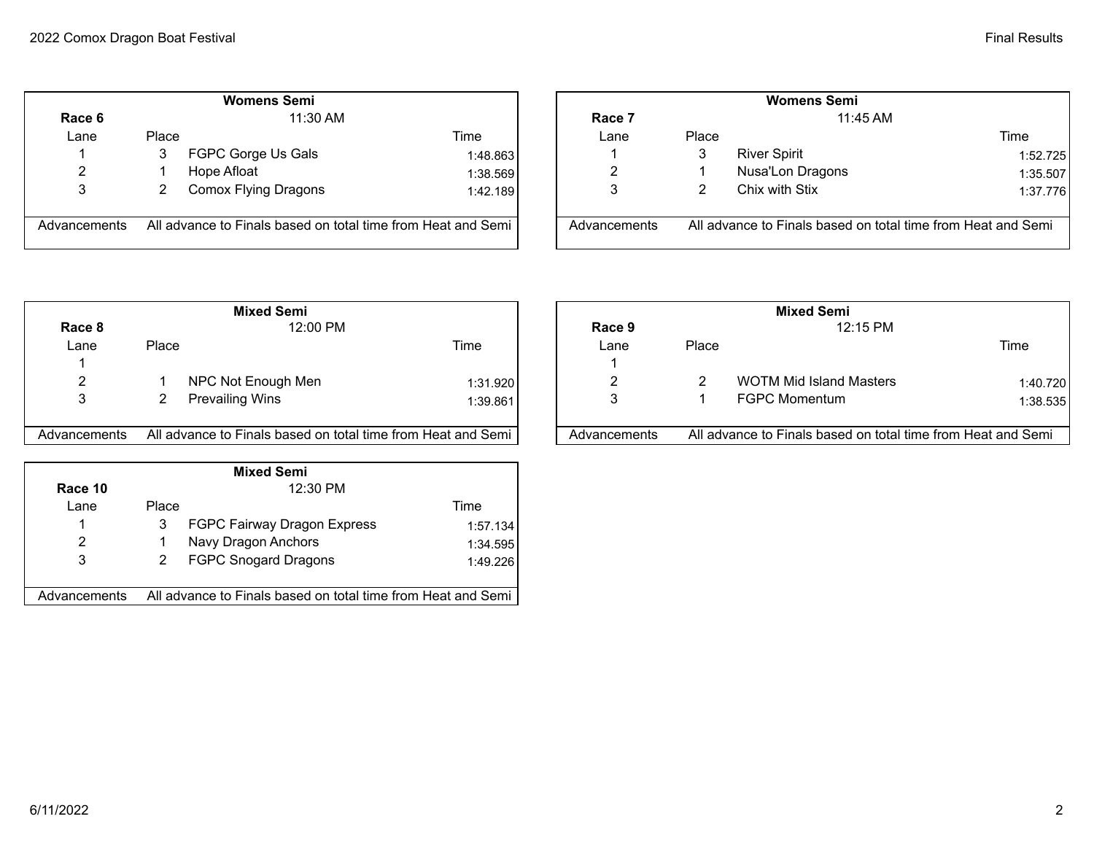|              |       | <b>Womens Semi</b>                                           |          |              | <b>Womens Semi</b> |                                     |
|--------------|-------|--------------------------------------------------------------|----------|--------------|--------------------|-------------------------------------|
| Race 6       |       | $11:30$ AM                                                   |          | Race 7       |                    | 11:45 AM                            |
| Lane         | Place |                                                              | Time     | Lane         | Place              |                                     |
|              | 3     | FGPC Gorge Us Gals                                           | 1:48.863 |              | 3                  | <b>River Spirit</b>                 |
| 2            |       | Hope Afloat                                                  | 1:38.569 | 2            |                    | Nusa'Lon Dragons                    |
| 3            |       | Comox Flying Dragons                                         | 1:42.189 | 3            | 2                  | Chix with Stix                      |
| Advancements |       | All advance to Finals based on total time from Heat and Semi |          | Advancements |                    | All advance to Finals based on tota |

|              |          | <b>Womens Semi</b>                                           |          | <b>Womens Semi</b> |            |                                                              |          |  |
|--------------|----------|--------------------------------------------------------------|----------|--------------------|------------|--------------------------------------------------------------|----------|--|
| Race 6       | 11:30 AM |                                                              |          | Race 7             | $11:45$ AM |                                                              |          |  |
| Lane         | Place    |                                                              | Time     | Lane               | Place      |                                                              | Time     |  |
|              |          | FGPC Gorge Us Gals                                           | 1:48.863 |                    | 3          | <b>River Spirit</b>                                          | 1:52.725 |  |
|              |          | Hope Afloat                                                  | 1:38.569 |                    |            | Nusa'Lon Dragons                                             | 1:35.507 |  |
| J            |          | Comox Flying Dragons                                         | 1:42.189 |                    |            | Chix with Stix                                               | 1:37.776 |  |
| Advancements |          | All advance to Finals based on total time from Heat and Semi |          | Advancements       |            | All advance to Finals based on total time from Heat and Semi |          |  |

|              | <b>Mixed Semi</b>                                            |          |              |       | <b>Mixed Semi</b>                   |
|--------------|--------------------------------------------------------------|----------|--------------|-------|-------------------------------------|
| Race 8       | 12:00 PM                                                     |          | Race 9       |       | 12:15 PM                            |
| Lane         | Place                                                        | Time     | Lane         | Place |                                     |
|              |                                                              |          |              |       |                                     |
| 2            | NPC Not Enough Men                                           | 1:31.920 |              |       | <b>WOTM Mid Island Masters</b>      |
| 3            | <b>Prevailing Wins</b>                                       | 1:39.861 | 3            |       | <b>FGPC Momentum</b>                |
| Advancements | All advance to Finals based on total time from Heat and Semi |          | Advancements |       | All advance to Finals based on tota |

| <b>Mixed Semi</b> |              |                                                              |          |  |  |  |  |  |
|-------------------|--------------|--------------------------------------------------------------|----------|--|--|--|--|--|
| Race 10           |              | 12:30 PM                                                     |          |  |  |  |  |  |
| Lane              | <b>Place</b> |                                                              | Time     |  |  |  |  |  |
| 1                 | 3            | FGPC Fairway Dragon Express                                  | 1:57.134 |  |  |  |  |  |
| 2                 |              | Navy Dragon Anchors                                          | 1:34.595 |  |  |  |  |  |
| 3                 | 2            | <b>FGPC Snogard Dragons</b>                                  | 1:49.226 |  |  |  |  |  |
|                   |              |                                                              |          |  |  |  |  |  |
| Advancements      |              | All advance to Finals based on total time from Heat and Semi |          |  |  |  |  |  |

|              |       | <b>Mixed Semi</b>                                            |          |              | <b>Mixed Semi</b> |                                                              |          |  |  |
|--------------|-------|--------------------------------------------------------------|----------|--------------|-------------------|--------------------------------------------------------------|----------|--|--|
| Race 8       |       | 12:00 PM                                                     |          | Race 9       |                   | 12:15 PM                                                     |          |  |  |
| Lane         | Place |                                                              | Time     | Lane         | Place             |                                                              | Time     |  |  |
|              |       |                                                              |          |              |                   |                                                              |          |  |  |
| n            |       | NPC Not Enough Men                                           | 1:31.920 |              |                   | <b>WOTM Mid Island Masters</b>                               | 1:40.720 |  |  |
|              |       | <b>Prevailing Wins</b>                                       | 1:39.861 | 3            |                   | <b>FGPC Momentum</b>                                         | 1:38.535 |  |  |
| Advancements |       | All advance to Finals based on total time from Heat and Semi |          | Advancements |                   | All advance to Finals based on total time from Heat and Semi |          |  |  |